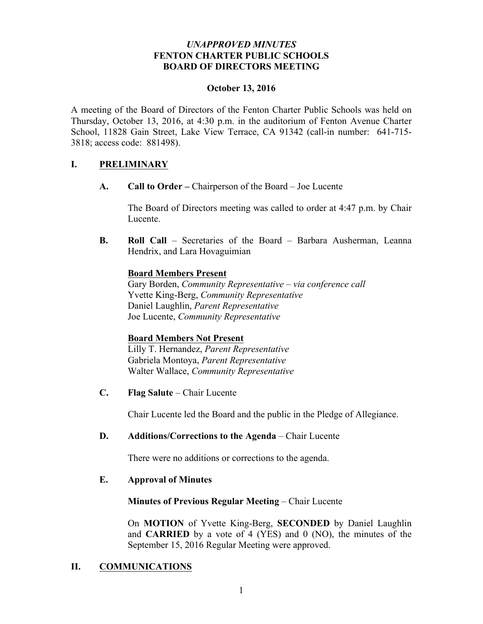#### *UNAPPROVED MINUTES* **FENTON CHARTER PUBLIC SCHOOLS BOARD OF DIRECTORS MEETING**

#### **October 13, 2016**

A meeting of the Board of Directors of the Fenton Charter Public Schools was held on Thursday, October 13, 2016, at 4:30 p.m. in the auditorium of Fenton Avenue Charter School, 11828 Gain Street, Lake View Terrace, CA 91342 (call-in number: 641-715- 3818; access code: 881498).

## **I. PRELIMINARY**

**A. Call to Order –** Chairperson of the Board – Joe Lucente

The Board of Directors meeting was called to order at 4:47 p.m. by Chair Lucente.

**B. Roll Call** – Secretaries of the Board – Barbara Ausherman, Leanna Hendrix, and Lara Hovaguimian

#### **Board Members Present**

Gary Borden, *Community Representative – via conference call* Yvette King-Berg, *Community Representative* Daniel Laughlin, *Parent Representative* Joe Lucente, *Community Representative*

#### **Board Members Not Present**

Lilly T. Hernandez, *Parent Representative* Gabriela Montoya, *Parent Representative* Walter Wallace, *Community Representative* 

**C. Flag Salute** – Chair Lucente

Chair Lucente led the Board and the public in the Pledge of Allegiance.

## **D. Additions/Corrections to the Agenda** – Chair Lucente

There were no additions or corrections to the agenda.

#### **E. Approval of Minutes**

#### **Minutes of Previous Regular Meeting** – Chair Lucente

On **MOTION** of Yvette King-Berg, **SECONDED** by Daniel Laughlin and **CARRIED** by a vote of 4 (YES) and 0 (NO), the minutes of the September 15, 2016 Regular Meeting were approved.

## **II. COMMUNICATIONS**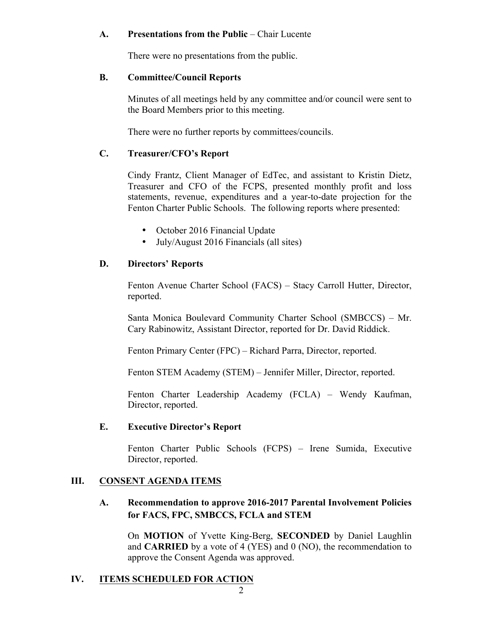#### **A. Presentations from the Public** – Chair Lucente

There were no presentations from the public.

#### **B. Committee/Council Reports**

Minutes of all meetings held by any committee and/or council were sent to the Board Members prior to this meeting.

There were no further reports by committees/councils.

## **C. Treasurer/CFO's Report**

Cindy Frantz, Client Manager of EdTec, and assistant to Kristin Dietz, Treasurer and CFO of the FCPS, presented monthly profit and loss statements, revenue, expenditures and a year-to-date projection for the Fenton Charter Public Schools. The following reports where presented:

- October 2016 Financial Update
- July/August 2016 Financials (all sites)

# **D. Directors' Reports**

Fenton Avenue Charter School (FACS) – Stacy Carroll Hutter, Director, reported.

Santa Monica Boulevard Community Charter School (SMBCCS) – Mr. Cary Rabinowitz, Assistant Director, reported for Dr. David Riddick.

Fenton Primary Center (FPC) – Richard Parra, Director, reported.

Fenton STEM Academy (STEM) – Jennifer Miller, Director, reported.

Fenton Charter Leadership Academy (FCLA) – Wendy Kaufman, Director, reported.

## **E. Executive Director's Report**

Fenton Charter Public Schools (FCPS) – Irene Sumida, Executive Director, reported.

## **III. CONSENT AGENDA ITEMS**

# **A. Recommendation to approve 2016-2017 Parental Involvement Policies for FACS, FPC, SMBCCS, FCLA and STEM**

On **MOTION** of Yvette King-Berg, **SECONDED** by Daniel Laughlin and **CARRIED** by a vote of 4 (YES) and 0 (NO), the recommendation to approve the Consent Agenda was approved.

# **IV. ITEMS SCHEDULED FOR ACTION**